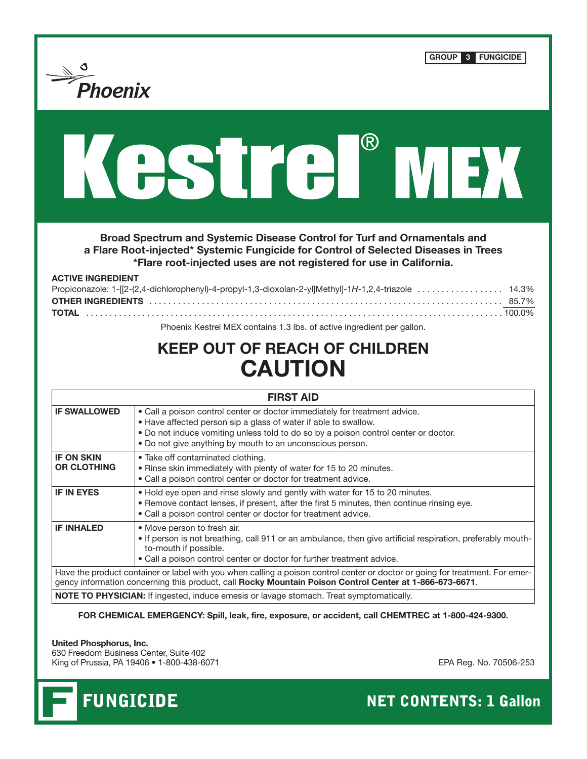| Phoenix                                 | <b>GROUP</b><br>$\mathbf{3}$<br><b>FUNGICIDE</b>                                                                                                                                                                                                                                                  |
|-----------------------------------------|---------------------------------------------------------------------------------------------------------------------------------------------------------------------------------------------------------------------------------------------------------------------------------------------------|
|                                         | <b>ASIKA INDI</b>                                                                                                                                                                                                                                                                                 |
| <b>ACTIVE INGREDIENT</b>                | Broad Spectrum and Systemic Disease Control for Turf and Ornamentals and<br>a Flare Root-injected* Systemic Fungicide for Control of Selected Diseases in Trees<br>*Flare root-injected uses are not registered for use in California.                                                            |
| <b>TOTAL</b>                            | Phoenix Kestrel MEX contains 1.3 lbs. of active ingredient per gallon.<br><b>KEEP OUT OF REACH OF CHILDREN</b><br><b>CAUTION</b>                                                                                                                                                                  |
|                                         | <b>FIRST AID</b>                                                                                                                                                                                                                                                                                  |
| <b>IF SWALLOWED</b>                     | . Call a poison control center or doctor immediately for treatment advice.<br>• Have affected person sip a glass of water if able to swallow.<br>. Do not induce vomiting unless told to do so by a poison control center or doctor.<br>. Do not give anything by mouth to an unconscious person. |
| <b>IF ON SKIN</b><br><b>OR CLOTHING</b> | • Take off contaminated clothing.<br>. Rinse skin immediately with plenty of water for 15 to 20 minutes.<br>• Call a poison control center or doctor for treatment advice.                                                                                                                        |
| <b>IF IN EYES</b>                       | . Hold eye open and rinse slowly and gently with water for 15 to 20 minutes.<br>. Remove contact lenses, if present, after the first 5 minutes, then continue rinsing eye.<br>• Call a poison control center or doctor for treatment advice.                                                      |

**FOR CHEMICAL EMERGENCY: Spill, leak, fire, exposure, or accident, call CHEMTREC at 1-800-424-9300.**

**United Phosphorus, Inc.**

630 Freedom Business Center, Suite 402 King of Prussia, PA 19406 • 1-800-438-6071 EPA Reg. No. 70506-253



FUNGICIDE NET CONTENTS: 1 Gallon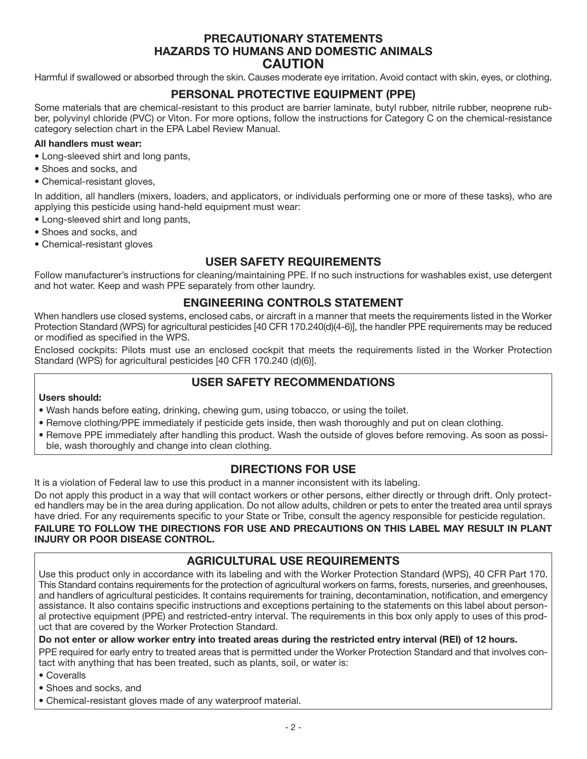## **PRECAUTIONARY STATEMENTS HAZARDS TO HUMANS AND DOMESTIC ANIMALS CAUTION**

Harmful if swallowed or absorbed through the skin. Causes moderate eye irritation. Avoid contact with skin, eyes, or clothing.

# **PERSONAL PROTECTIVE EQUIPMENT (PPE)**

Some materials that are chemical-resistant to this product are barrier laminate, butyl rubber, nitrile rubber, neoprene rubber, polyvinyl chloride (PVC) or Viton. For more options, follow the instructions for Category C on the chemical-resistance category selection chart in the EPA Label Review Manual.

#### **All handlers must wear:**

- Long-sleeved shirt and long pants,
- Shoes and socks, and
- Chemical-resistant gloves,

In addition, all handlers (mixers, loaders, and applicators, or individuals performing one or more of these tasks), who are applying this pesticide using hand-held equipment must wear:

• Long-sleeved shirt and long pants,

- Shoes and socks, and
- Chemical-resistant gloves

## **USER SAFETY REQUIREMENTS**

Follow manufacturer's instructions for cleaning/maintaining PPE. If no such instructions for washables exist, use detergent and hot water. Keep and wash PPE separately from other laundry.

## **ENGINEERING CONTROLS STATEMENT**

When handlers use closed systems, enclosed cabs, or aircraft in a manner that meets the requirements listed in the Worker Protection Standard (WPS) for agricultural pesticides [40 CFR 170.240(d)(4-6)], the handler PPE requirements may be reduced or modified as specified in the WPS.

Enclosed cockpits: Pilots must use an enclosed cockpit that meets the requirements listed in the Worker Protection Standard (WPS) for agricultural pesticides [40 CFR 170.240 (d)(6)].

## **USER SAFETY RECOMMENDATIONS**

#### **Users should:**

- Wash hands before eating, drinking, chewing gum, using tobacco, or using the toilet.
- Remove clothing/PPE immediately if pesticide gets inside, then wash thoroughly and put on clean clothing.
- Remove PPE immediately after handling this product. Wash the outside of gloves before removing. As soon as possi
	- ble, wash thoroughly and change into clean clothing.

## **DIRECTIONS FOR USE**

It is a violation of Federal law to use this product in a manner inconsistent with its labeling.

Do not apply this product in a way that will contact workers or other persons, either directly or through drift. Only protected handlers may be in the area during application. Do not allow adults, children or pets to enter the treated area until sprays have dried. For any requirements specific to your State or Tribe, consult the agency responsible for pesticide regulation. **FAILURE TO FOLLOW THE DIRECTIONS FOR USE AND PRECAUTIONS ON THIS LABEL MAY RESULT IN PLANT**

# **INJURY OR POOR DISEASE CONTROL.**

# **AGRICULTURAL USE REQUIREMENTS**

Use this product only in accordance with its labeling and with the Worker Protection Standard (WPS), 40 CFR Part 170. This Standard contains requirements for the protection of agricultural workers on farms, forests, nurseries, and greenhouses, and handlers of agricultural pesticides. It contains requirements for training, decontamination, notification, and emergency assistance. It also contains specific instructions and exceptions pertaining to the statements on this label about personal protective equipment (PPE) and restricted-entry interval. The requirements in this box only apply to uses of this product that are covered by the Worker Protection Standard.

**Do not enter or allow worker entry into treated areas during the restricted entry interval (REI) of 12 hours.**

PPE required for early entry to treated areas that is permitted under the Worker Protection Standard and that involves contact with anything that has been treated, such as plants, soil, or water is:

- Coveralls
- Shoes and socks, and
- Chemical-resistant gloves made of any waterproof material.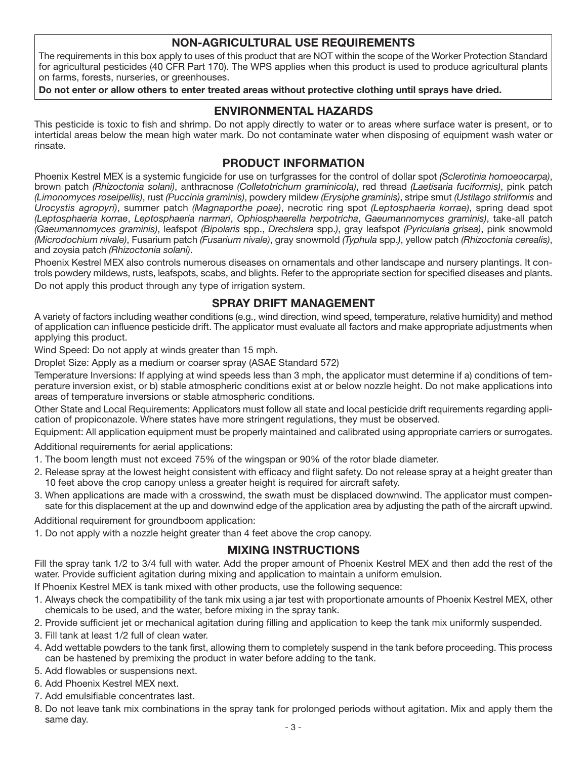## **NON-AGRICULTURAL USE REQUIREMENTS**

The requirements in this box apply to uses of this product that are NOT within the scope of the Worker Protection Standard for agricultural pesticides (40 CFR Part 170). The WPS applies when this product is used to produce agricultural plants on farms, forests, nurseries, or greenhouses.

**Do not enter or allow others to enter treated areas without protective clothing until sprays have dried.**

## **ENVIRONMENTAL HAZARDS**

This pesticide is toxic to fish and shrimp. Do not apply directly to water or to areas where surface water is present, or to intertidal areas below the mean high water mark. Do not contaminate water when disposing of equipment wash water or rinsate.

## **PRODUCT INFORMATION**

Phoenix Kestrel MEX is a systemic fungicide for use on turfgrasses for the control of dollar spot *(Sclerotinia homoeocarpa)*, brown patch *(Rhizoctonia solani)*, anthracnose *(Colletotrichum graminicola)*, red thread *(Laetisaria fuciformis)*, pink patch *(Limonomyces roseipellis)*, rust *(Puccinia graminis)*, powdery mildew *(Erysiphe graminis)*, stripe smut *(Ustilago striiformis* and *Urocystis agropyri)*, summer patch *(Magnaporthe poae)*, necrotic ring spot *(Leptosphaeria korrae)*, spring dead spot *(Leptosphaeria korrae*, *Leptosphaeria narmari*, *Ophiosphaerella herpotricha*, *Gaeumannomyces graminis)*, take-all patch *(Gaeumannomyces graminis)*, leafspot *(Bipolaris* spp., *Drechslera* spp.*)*, gray leafspot *(Pyricularia grisea)*, pink snowmold *(Microdochium nivale)*, Fusarium patch *(Fusarium nivale)*, gray snowmold *(Typhula* spp.*)*, yellow patch *(Rhizoctonia cerealis)*, and zoysia patch *(Rhizoctonia solani)*.

Phoenix Kestrel MEX also controls numerous diseases on ornamentals and other landscape and nursery plantings. It controls powdery mildews, rusts, leafspots, scabs, and blights. Refer to the appropriate section for specified diseases and plants. Do not apply this product through any type of irrigation system.

## **SPRAY DRIFT MANAGEMENT**

A variety of factors including weather conditions (e.g., wind direction, wind speed, temperature, relative humidity) and method of application can influence pesticide drift. The applicator must evaluate all factors and make appropriate adjustments when applying this product.

Wind Speed: Do not apply at winds greater than 15 mph.

Droplet Size: Apply as a medium or coarser spray (ASAE Standard 572)

Temperature Inversions: If applying at wind speeds less than 3 mph, the applicator must determine if a) conditions of temperature inversion exist, or b) stable atmospheric conditions exist at or below nozzle height. Do not make applications into areas of temperature inversions or stable atmospheric conditions.

Other State and Local Requirements: Applicators must follow all state and local pesticide drift requirements regarding application of propiconazole. Where states have more stringent regulations, they must be observed.

Equipment: All application equipment must be properly maintained and calibrated using appropriate carriers or surrogates.

Additional requirements for aerial applications:

- 1. The boom length must not exceed 75% of the wingspan or 90% of the rotor blade diameter.
- 2. Release spray at the lowest height consistent with efficacy and flight safety. Do not release spray at a height greater than 10 feet above the crop canopy unless a greater height is required for aircraft safety.
- 3. When applications are made with a crosswind, the swath must be displaced downwind. The applicator must compensate for this displacement at the up and downwind edge of the application area by adjusting the path of the aircraft upwind.

Additional requirement for groundboom application:

1. Do not apply with a nozzle height greater than 4 feet above the crop canopy.

## **MIXING INSTRUCTIONS**

Fill the spray tank 1/2 to 3/4 full with water. Add the proper amount of Phoenix Kestrel MEX and then add the rest of the water. Provide sufficient agitation during mixing and application to maintain a uniform emulsion.

If Phoenix Kestrel MEX is tank mixed with other products, use the following sequence:

- 1. Always check the compatibility of the tank mix using a jar test with proportionate amounts of Phoenix Kestrel MEX, other chemicals to be used, and the water, before mixing in the spray tank.
- 2. Provide sufficient jet or mechanical agitation during filling and application to keep the tank mix uniformly suspended.
- 3. Fill tank at least 1/2 full of clean water.
- 4. Add wettable powders to the tank first, allowing them to completely suspend in the tank before proceeding. This process can be hastened by premixing the product in water before adding to the tank.

5. Add flowables or suspensions next.

- 6. Add Phoenix Kestrel MEX next.
- 7. Add emulsifiable concentrates last.
- 8. Do not leave tank mix combinations in the spray tank for prolonged periods without agitation. Mix and apply them the same day.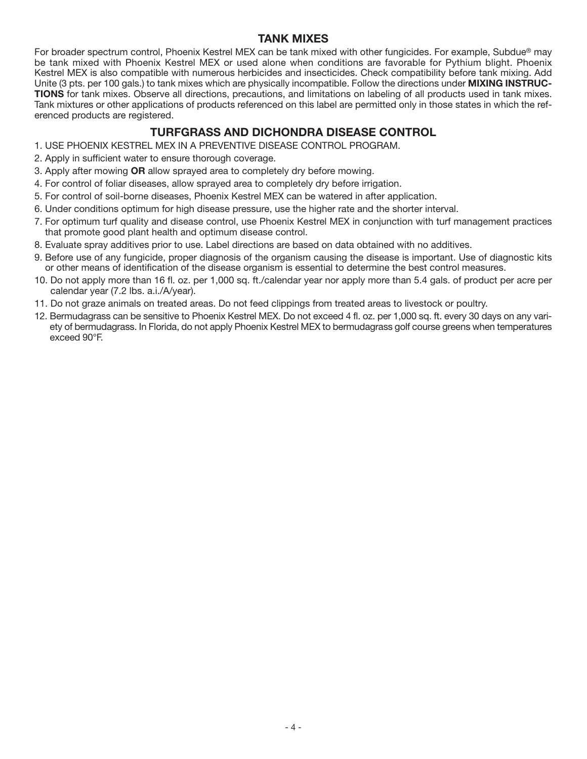## **TANK MIXES**

For broader spectrum control, Phoenix Kestrel MEX can be tank mixed with other fungicides. For example, Subdue® may be tank mixed with Phoenix Kestrel MEX or used alone when conditions are favorable for Pythium blight. Phoenix Kestrel MEX is also compatible with numerous herbicides and insecticides. Check compatibility before tank mixing. Add Unite (3 pts. per 100 gals.) to tank mixes which are physically incompatible. Follow the directions under **MIXING INSTRUC-TIONS** for tank mixes. Observe all directions, precautions, and limitations on labeling of all products used in tank mixes. Tank mixtures or other applications of products referenced on this label are permitted only in those states in which the referenced products are registered.

# **TURFGRASS AND DICHONDRA DISEASE CONTROL**

- 1. USE PHOENIX KESTREL MEX IN A PREVENTIVE DISEASE CONTROL PROGRAM.
- 2. Apply in sufficient water to ensure thorough coverage.
- 3. Apply after mowing **OR** allow sprayed area to completely dry before mowing.
- 4. For control of foliar diseases, allow sprayed area to completely dry before irrigation.
- 5. For control of soil-borne diseases, Phoenix Kestrel MEX can be watered in after application.
- 6. Under conditions optimum for high disease pressure, use the higher rate and the shorter interval.
- 7. For optimum turf quality and disease control, use Phoenix Kestrel MEX in conjunction with turf management practices that promote good plant health and optimum disease control.
- 8. Evaluate spray additives prior to use. Label directions are based on data obtained with no additives.
- 9. Before use of any fungicide, proper diagnosis of the organism causing the disease is important. Use of diagnostic kits or other means of identification of the disease organism is essential to determine the best control measures.
- 10. Do not apply more than 16 fl. oz. per 1,000 sq. ft./calendar year nor apply more than 5.4 gals. of product per acre per calendar year (7.2 lbs. a.i./A/year).
- 11. Do not graze animals on treated areas. Do not feed clippings from treated areas to livestock or poultry.
- 12. Bermudagrass can be sensitive to Phoenix Kestrel MEX. Do not exceed 4 fl. oz. per 1,000 sq. ft. every 30 days on any variety of bermudagrass. In Florida, do not apply Phoenix Kestrel MEX to bermudagrass golf course greens when temperatures exceed 90°F.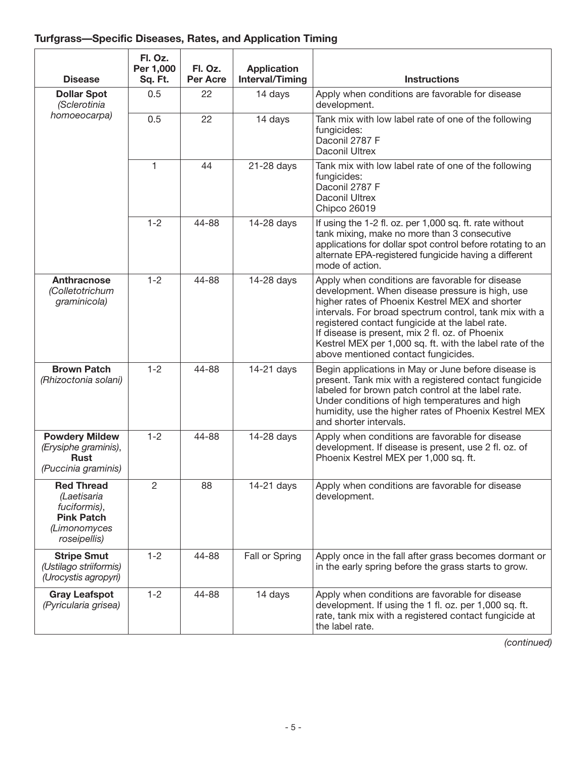# **Turfgrass—Specific Diseases, Rates, and Application Timing**

| <b>Disease</b>                                                                                        | Fl. Oz.<br>Per 1,000<br>Sq. Ft. | Fl. Oz.<br><b>Per Acre</b> | <b>Application</b><br><b>Interval/Timing</b> | <b>Instructions</b>                                                                                                                                                                                                                                                                                                                                                                                                      |
|-------------------------------------------------------------------------------------------------------|---------------------------------|----------------------------|----------------------------------------------|--------------------------------------------------------------------------------------------------------------------------------------------------------------------------------------------------------------------------------------------------------------------------------------------------------------------------------------------------------------------------------------------------------------------------|
| <b>Dollar Spot</b><br>(Sclerotinia<br>homoeocarpa)                                                    | 0.5                             | 22                         | 14 days                                      | Apply when conditions are favorable for disease<br>development.                                                                                                                                                                                                                                                                                                                                                          |
|                                                                                                       | 0.5                             | 22                         | 14 days                                      | Tank mix with low label rate of one of the following<br>fungicides:<br>Daconil 2787 F<br>Daconil Ultrex                                                                                                                                                                                                                                                                                                                  |
|                                                                                                       | $\mathbf{1}$                    | 44                         | 21-28 days                                   | Tank mix with low label rate of one of the following<br>fungicides:<br>Daconil 2787 F<br>Daconil Ultrex<br>Chipco 26019                                                                                                                                                                                                                                                                                                  |
|                                                                                                       | $1 - 2$                         | 44-88                      | 14-28 days                                   | If using the 1-2 fl. oz. per 1,000 sq. ft. rate without<br>tank mixing, make no more than 3 consecutive<br>applications for dollar spot control before rotating to an<br>alternate EPA-registered fungicide having a different<br>mode of action.                                                                                                                                                                        |
| <b>Anthracnose</b><br>(Colletotrichum<br>graminicola)                                                 | $1 - 2$                         | 44-88                      | 14-28 days                                   | Apply when conditions are favorable for disease<br>development. When disease pressure is high, use<br>higher rates of Phoenix Kestrel MEX and shorter<br>intervals. For broad spectrum control, tank mix with a<br>registered contact fungicide at the label rate.<br>If disease is present, mix 2 fl. oz. of Phoenix<br>Kestrel MEX per 1,000 sq. ft. with the label rate of the<br>above mentioned contact fungicides. |
| <b>Brown Patch</b><br>(Rhizoctonia solani)                                                            | $1 - 2$                         | 44-88                      | 14-21 days                                   | Begin applications in May or June before disease is<br>present. Tank mix with a registered contact fungicide<br>labeled for brown patch control at the label rate.<br>Under conditions of high temperatures and high<br>humidity, use the higher rates of Phoenix Kestrel MEX<br>and shorter intervals.                                                                                                                  |
| <b>Powdery Mildew</b><br>(Erysiphe graminis),<br><b>Rust</b><br>(Puccinia graminis)                   | $1 - 2$                         | 44-88                      | 14-28 days                                   | Apply when conditions are favorable for disease<br>development. If disease is present, use 2 fl. oz. of<br>Phoenix Kestrel MEX per 1,000 sq. ft.                                                                                                                                                                                                                                                                         |
| <b>Red Thread</b><br>(Laetisaria<br>fuciformis),<br><b>Pink Patch</b><br>(Limonomyces<br>roseipellis) | $\overline{2}$                  | 88                         | 14-21 days                                   | Apply when conditions are favorable for disease<br>development.                                                                                                                                                                                                                                                                                                                                                          |
| <b>Stripe Smut</b><br>(Ustilago striiformis)<br>(Urocystis agropyri)                                  | $1 - 2$                         | 44-88                      | Fall or Spring                               | Apply once in the fall after grass becomes dormant or<br>in the early spring before the grass starts to grow.                                                                                                                                                                                                                                                                                                            |
| <b>Gray Leafspot</b><br>(Pyricularia grisea)                                                          | $1 - 2$                         | 44-88                      | 14 days                                      | Apply when conditions are favorable for disease<br>development. If using the 1 fl. oz. per 1,000 sq. ft.<br>rate, tank mix with a registered contact fungicide at<br>the label rate.                                                                                                                                                                                                                                     |

*(continued)*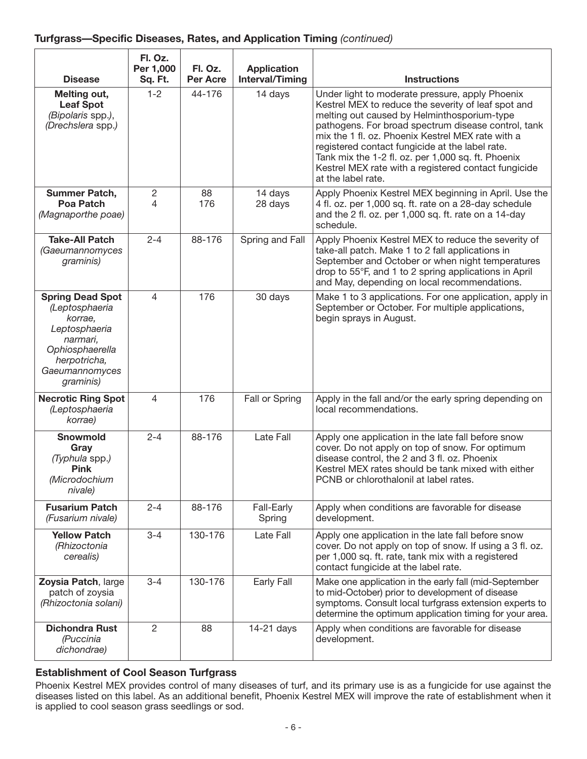| <b>Disease</b>                                                                                                                                      | Fl. Oz.<br>Per 1,000<br>Sq. Ft. | Fl. Oz.<br><b>Per Acre</b> | <b>Application</b><br><b>Interval/Timing</b> | <b>Instructions</b>                                                                                                                                                                                                                                                                                                                                                                                                                                      |
|-----------------------------------------------------------------------------------------------------------------------------------------------------|---------------------------------|----------------------------|----------------------------------------------|----------------------------------------------------------------------------------------------------------------------------------------------------------------------------------------------------------------------------------------------------------------------------------------------------------------------------------------------------------------------------------------------------------------------------------------------------------|
| Melting out,<br><b>Leaf Spot</b><br>(Bipolaris spp.),<br>(Drechslera spp.)                                                                          | $1 - 2$                         | 44-176                     | 14 days                                      | Under light to moderate pressure, apply Phoenix<br>Kestrel MEX to reduce the severity of leaf spot and<br>melting out caused by Helminthosporium-type<br>pathogens. For broad spectrum disease control, tank<br>mix the 1 fl. oz. Phoenix Kestrel MEX rate with a<br>registered contact fungicide at the label rate.<br>Tank mix the 1-2 fl. oz. per 1,000 sq. ft. Phoenix<br>Kestrel MEX rate with a registered contact fungicide<br>at the label rate. |
| Summer Patch,<br><b>Poa Patch</b><br>(Magnaporthe poae)                                                                                             | $\overline{c}$<br>4             | 88<br>176                  | 14 days<br>28 days                           | Apply Phoenix Kestrel MEX beginning in April. Use the<br>4 fl. oz. per 1,000 sq. ft. rate on a 28-day schedule<br>and the 2 fl. oz. per 1,000 sq. ft. rate on a 14-day<br>schedule.                                                                                                                                                                                                                                                                      |
| <b>Take-All Patch</b><br>(Gaeumannomyces<br>graminis)                                                                                               | $2 - 4$                         | 88-176                     | Spring and Fall                              | Apply Phoenix Kestrel MEX to reduce the severity of<br>take-all patch. Make 1 to 2 fall applications in<br>September and October or when night temperatures<br>drop to 55°F, and 1 to 2 spring applications in April<br>and May, depending on local recommendations.                                                                                                                                                                                     |
| <b>Spring Dead Spot</b><br>(Leptosphaeria<br>korrae,<br>Leptosphaeria<br>narmari,<br>Ophiosphaerella<br>herpotricha,<br>Gaeumannomyces<br>graminis) | $\overline{\mathcal{A}}$        | 176                        | 30 days                                      | Make 1 to 3 applications. For one application, apply in<br>September or October. For multiple applications,<br>begin sprays in August.                                                                                                                                                                                                                                                                                                                   |
| <b>Necrotic Ring Spot</b><br>(Leptosphaeria<br>korrae)                                                                                              | 4                               | 176                        | Fall or Spring                               | Apply in the fall and/or the early spring depending on<br>local recommendations.                                                                                                                                                                                                                                                                                                                                                                         |
| <b>Snowmold</b><br>Gray<br>(Typhula spp.)<br><b>Pink</b><br>(Microdochium<br>nivale)                                                                | $2 - 4$                         | 88-176                     | Late Fall                                    | Apply one application in the late fall before snow<br>cover. Do not apply on top of snow. For optimum<br>disease control, the 2 and 3 fl. oz. Phoenix<br>Kestrel MEX rates should be tank mixed with either<br>PCNB or chlorothalonil at label rates.                                                                                                                                                                                                    |
| <b>Fusarium Patch</b><br>(Fusarium nivale)                                                                                                          | $2 - 4$                         | 88-176                     | Fall-Early<br>Spring                         | Apply when conditions are favorable for disease<br>development.                                                                                                                                                                                                                                                                                                                                                                                          |
| <b>Yellow Patch</b><br>(Rhizoctonia<br>cerealis)                                                                                                    | $3 - 4$                         | 130-176                    | Late Fall                                    | Apply one application in the late fall before snow<br>cover. Do not apply on top of snow. If using a 3 fl. oz.<br>per 1,000 sq. ft. rate, tank mix with a registered<br>contact fungicide at the label rate.                                                                                                                                                                                                                                             |
| Zoysia Patch, large<br>patch of zoysia<br>(Rhizoctonia solani)                                                                                      | $3 - 4$                         | 130-176                    | Early Fall                                   | Make one application in the early fall (mid-September<br>to mid-October) prior to development of disease<br>symptoms. Consult local turfgrass extension experts to<br>determine the optimum application timing for your area.                                                                                                                                                                                                                            |
| <b>Dichondra Rust</b><br>(Puccinia<br>dichondrae)                                                                                                   | $\overline{2}$                  | 88                         | 14-21 days                                   | Apply when conditions are favorable for disease<br>development.                                                                                                                                                                                                                                                                                                                                                                                          |

## **Establishment of Cool Season Turfgrass**

Phoenix Kestrel MEX provides control of many diseases of turf, and its primary use is as a fungicide for use against the diseases listed on this label. As an additional benefit, Phoenix Kestrel MEX will improve the rate of establishment when it is applied to cool season grass seedlings or sod.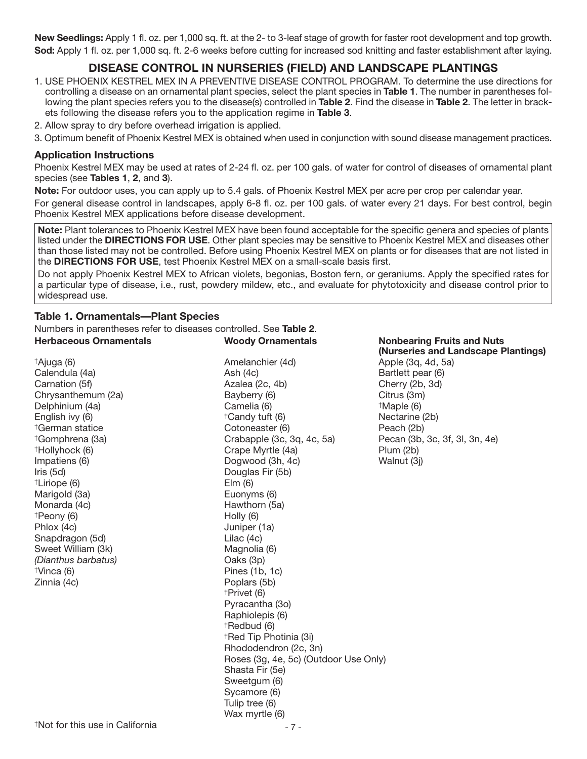**New Seedlings:** Apply 1 fl. oz. per 1,000 sq. ft. at the 2- to 3-leaf stage of growth for faster root development and top growth. **Sod:** Apply 1 fl. oz. per 1,000 sq. ft. 2-6 weeks before cutting for increased sod knitting and faster establishment after laying.

# **DISEASE CONTROL IN NURSERIES (FIELD) AND LANDSCAPE PLANTINGS**

- 1. USE PHOENIX KESTREL MEX IN A PREVENTIVE DISEASE CONTROL PROGRAM. To determine the use directions for controlling a disease on an ornamental plant species, select the plant species in **Table 1**. The number in parentheses following the plant species refers you to the disease(s) controlled in **Table 2**. Find the disease in **Table 2**. The letter in brackets following the disease refers you to the application regime in **Table 3**.
- 2. Allow spray to dry before overhead irrigation is applied.
- 3. Optimum benefit of Phoenix Kestrel MEX is obtained when used in conjunction with sound disease management practices.

#### **Application Instructions**

Phoenix Kestrel MEX may be used at rates of 2-24 fl. oz. per 100 gals. of water for control of diseases of ornamental plant species (see **Tables 1**, **2**, and **3**).

**Note:** For outdoor uses, you can apply up to 5.4 gals. of Phoenix Kestrel MEX per acre per crop per calendar year.

For general disease control in landscapes, apply 6-8 fl. oz. per 100 gals. of water every 21 days. For best control, begin Phoenix Kestrel MEX applications before disease development.

**Note:** Plant tolerances to Phoenix Kestrel MEX have been found acceptable for the specific genera and species of plants listed under the **DIRECTIONS FOR USE**. Other plant species may be sensitive to Phoenix Kestrel MEX and diseases other than those listed may not be controlled. Before using Phoenix Kestrel MEX on plants or for diseases that are not listed in the **DIRECTIONS FOR USE**, test Phoenix Kestrel MEX on a small-scale basis first.

Do not apply Phoenix Kestrel MEX to African violets, begonias, Boston fern, or geraniums. Apply the specified rates for a particular type of disease, i.e., rust, powdery mildew, etc., and evaluate for phytotoxicity and disease control prior to widespread use.

#### **Table 1. Ornamentals—Plant Species**

Numbers in parentheses refer to diseases controlled. See **Table 2**. **Herbaceous Ornamentals Woody Ornamentals Nonbearing Fruits and Nuts (Nurseries and Landscape Plantings)** †Ajuga (6) Amelanchier (4d) Apple (3q, 4d, 5a) Calendula (4a) Ash (4c) Bartlett pear (6) Carnation (5f) Carnation (5f) Control Carnation (5f) Cherry (2b, 3d) Chrysanthemum (2a) Bayberry (6) Citrus (3m)<br>Delphinium (4a) Camelia (6) Camelia (6) thaple (6) Delphinium (4a) **Camelia (6) Example 1 Maple (6) html** English ivy (6) **English** ivy (6) **https://english** ivy (6) **Nectarine (2b)** †German statice Cotoneaster (6) Peach (2b) †Gomphrena (3a) Crabapple (3c, 3q, 4c, 5a) Pecan (3b, 3c, 3f, 3l, 3n, 4e) †Hollyhock (6) Crape Myrtle (4a) Plum (2b) Impatiens (6) **Dogwood (3h, 4c)** Walnut (3j) <br>
Iris (5d) **Douglas Fir (5b)** Douglas Fir (5b) †Liriope (6) Elm (6) Marigold (3a) **Euonyms** (6) Monarda (4c) Hawthorn (5a)  $\uparrow$ Peony (6) Phlox (4c) **Juniper (1a)** Snapdragon (5d) Lilac (4c) Sweet William (3k) Magnolia (6) *(Dianthus barbatus)* Oaks (3p)  $\exists$   $\forall$ inca (6)  $\qquad \qquad$  Pines (1b, 1c) Zinnia (4c) **Poplars (5b)** †Privet (6) Pyracantha (3o) Raphiolepis (6) †Redbud (6) †Red Tip Photinia (3i) Rhododendron (2c, 3n) Roses (3g, 4e, 5c) (Outdoor Use Only) Shasta Fir (5e) Sweetgum (6) Sycamore (6) Tulip tree (6)

Wax myrtle (6)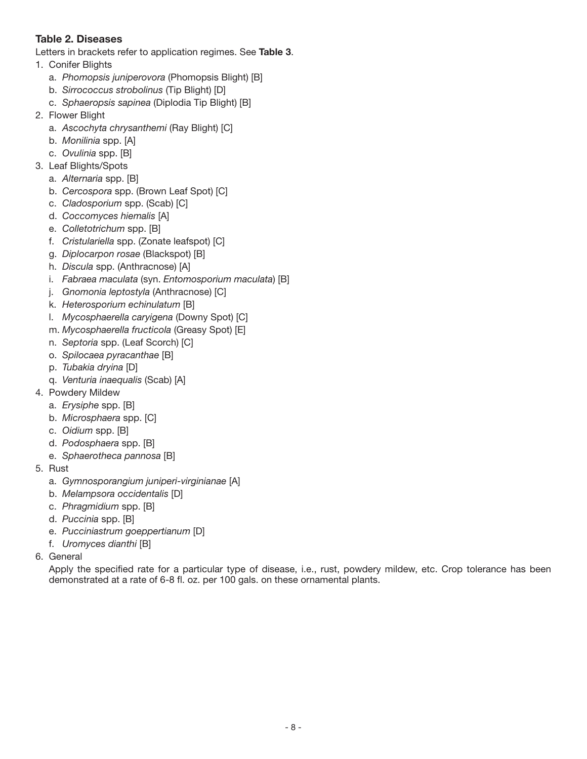## **Table 2. Diseases**

Letters in brackets refer to application regimes. See **Table 3**.

- 1. Conifer Blights
	- a. *Phomopsis juniperovora* (Phomopsis Blight) [B]
	- b. *Sirrococcus strobolinus* (Tip Blight) [D]
	- c. *Sphaeropsis sapinea* (Diplodia Tip Blight) [B]
- 2. Flower Blight
	- a. *Ascochyta chrysanthemi* (Ray Blight) [C]
	- b. *Monilinia* spp. [A]
	- c. *Ovulinia* spp. [B]
- 3. Leaf Blights/Spots
	- a. *Alternaria* spp. [B]
	- b. *Cercospora* spp. (Brown Leaf Spot) [C]
	- c. *Cladosporium* spp. (Scab) [C]
	- d. *Coccomyces hiemalis* [A]
	- e. *Colletotrichum* spp. [B]
	- f. *Cristulariella* spp. (Zonate leafspot) [C]
	- g. *Diplocarpon rosae* (Blackspot) [B]
	- h. *Discula* spp. (Anthracnose) [A]
	- i. *Fabraea maculata* (syn. *Entomosporium maculata*) [B]
	- j. *Gnomonia leptostyla* (Anthracnose) [C]
	- k. *Heterosporium echinulatum* [B]
	- l. *Mycosphaerella caryigena* (Downy Spot) [C]
	- m. *Mycosphaerella fructicola* (Greasy Spot) [E]
	- n. *Septoria* spp. (Leaf Scorch) [C]
	- o. *Spilocaea pyracanthae* [B]
	- p. *Tubakia dryina* [D]
	- q. *Venturia inaequalis* (Scab) [A]
- 4. Powdery Mildew
	- a. *Erysiphe* spp. [B]
	- b. *Microsphaera* spp. [C]
	- c. *Oidium* spp. [B]
	- d. *Podosphaera* spp. [B]
	- e. *Sphaerotheca pannosa* [B]
- 5. Rust
	- a. *Gymnosporangium juniperi-virginianae* [A]
	- b. *Melampsora occidentalis* [D]
	- c. *Phragmidium* spp. [B]
	- d. *Puccinia* spp. [B]
	- e. *Pucciniastrum goeppertianum* [D]
	- f. *Uromyces dianthi* [B]
- 6. General

Apply the specified rate for a particular type of disease, i.e., rust, powdery mildew, etc. Crop tolerance has been demonstrated at a rate of 6-8 fl. oz. per 100 gals. on these ornamental plants.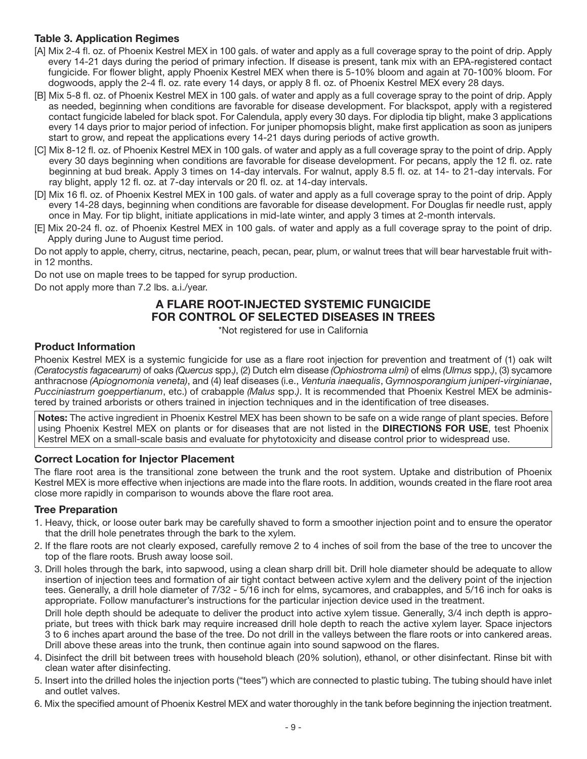## **Table 3. Application Regimes**

- [A] Mix 2-4 fl. oz. of Phoenix Kestrel MEX in 100 gals. of water and apply as a full coverage spray to the point of drip. Apply every 14-21 days during the period of primary infection. If disease is present, tank mix with an EPA-registered contact fungicide. For flower blight, apply Phoenix Kestrel MEX when there is 5-10% bloom and again at 70-100% bloom. For dogwoods, apply the 2-4 fl. oz. rate every 14 days, or apply 8 fl. oz. of Phoenix Kestrel MEX every 28 days.
- [B] Mix 5-8 fl. oz. of Phoenix Kestrel MEX in 100 gals. of water and apply as a full coverage spray to the point of drip. Apply as needed, beginning when conditions are favorable for disease development. For blackspot, apply with a registered contact fungicide labeled for black spot. For Calendula, apply every 30 days. For diplodia tip blight, make 3 applications every 14 days prior to major period of infection. For juniper phomopsis blight, make first application as soon as junipers start to grow, and repeat the applications every 14-21 days during periods of active growth.
- [C] Mix 8-12 fl. oz. of Phoenix Kestrel MEX in 100 gals. of water and apply as a full coverage spray to the point of drip. Apply every 30 days beginning when conditions are favorable for disease development. For pecans, apply the 12 fl. oz. rate beginning at bud break. Apply 3 times on 14-day intervals. For walnut, apply 8.5 fl. oz. at 14- to 21-day intervals. For ray blight, apply 12 fl. oz. at 7-day intervals or 20 fl. oz. at 14-day intervals.
- [D] Mix 16 fl. oz. of Phoenix Kestrel MEX in 100 gals. of water and apply as a full coverage spray to the point of drip. Apply every 14-28 days, beginning when conditions are favorable for disease development. For Douglas fir needle rust, apply once in May. For tip blight, initiate applications in mid-late winter, and apply 3 times at 2-month intervals.
- [E] Mix 20-24 fl. oz. of Phoenix Kestrel MEX in 100 gals. of water and apply as a full coverage spray to the point of drip. Apply during June to August time period.

Do not apply to apple, cherry, citrus, nectarine, peach, pecan, pear, plum, or walnut trees that will bear harvestable fruit within 12 months.

Do not use on maple trees to be tapped for syrup production.

Do not apply more than 7.2 lbs. a.i./year.

# **A FLARE ROOT-INJECTED SYSTEMIC FUNGICIDE FOR CONTROL OF SELECTED DISEASES IN TREES**

\*Not registered for use in California

#### **Product Information**

Phoenix Kestrel MEX is a systemic fungicide for use as a flare root injection for prevention and treatment of (1) oak wilt *(Ceratocystis fagacearum)* of oaks *(Quercus* spp.*)*, (2) Dutch elm disease *(Ophiostroma ulmi)* of elms *(Ulmus* spp.*)*, (3) sycamore anthracnose *(Apiognomonia veneta)*, and (4) leaf diseases (i.e., *Venturia inaequalis*, *Gymnosporangium juniperi-virginianae*, *Pucciniastrum goeppertianum*, etc.) of crabapple *(Malus* spp.*)*. It is recommended that Phoenix Kestrel MEX be administered by trained arborists or others trained in injection techniques and in the identification of tree diseases.

**Notes:** The active ingredient in Phoenix Kestrel MEX has been shown to be safe on a wide range of plant species. Before using Phoenix Kestrel MEX on plants or for diseases that are not listed in the **DIRECTIONS FOR USE**, test Phoenix Kestrel MEX on a small-scale basis and evaluate for phytotoxicity and disease control prior to widespread use.

#### **Correct Location for Injector Placement**

The flare root area is the transitional zone between the trunk and the root system. Uptake and distribution of Phoenix Kestrel MEX is more effective when injections are made into the flare roots. In addition, wounds created in the flare root area close more rapidly in comparison to wounds above the flare root area.

#### **Tree Preparation**

- 1. Heavy, thick, or loose outer bark may be carefully shaved to form a smoother injection point and to ensure the operator that the drill hole penetrates through the bark to the xylem.
- 2. If the flare roots are not clearly exposed, carefully remove 2 to 4 inches of soil from the base of the tree to uncover the top of the flare roots. Brush away loose soil.
- 3. Drill holes through the bark, into sapwood, using a clean sharp drill bit. Drill hole diameter should be adequate to allow insertion of injection tees and formation of air tight contact between active xylem and the delivery point of the injection tees. Generally, a drill hole diameter of 7/32 - 5/16 inch for elms, sycamores, and crabapples, and 5/16 inch for oaks is appropriate. Follow manufacturer's instructions for the particular injection device used in the treatment.

Drill hole depth should be adequate to deliver the product into active xylem tissue. Generally, 3/4 inch depth is appropriate, but trees with thick bark may require increased drill hole depth to reach the active xylem layer. Space injectors 3 to 6 inches apart around the base of the tree. Do not drill in the valleys between the flare roots or into cankered areas. Drill above these areas into the trunk, then continue again into sound sapwood on the flares.

- 4. Disinfect the drill bit between trees with household bleach (20% solution), ethanol, or other disinfectant. Rinse bit with clean water after disinfecting.
- 5. Insert into the drilled holes the injection ports ("tees") which are connected to plastic tubing. The tubing should have inlet and outlet valves.
- 6. Mix the specified amount of Phoenix Kestrel MEX and water thoroughly in the tank before beginning the injection treatment.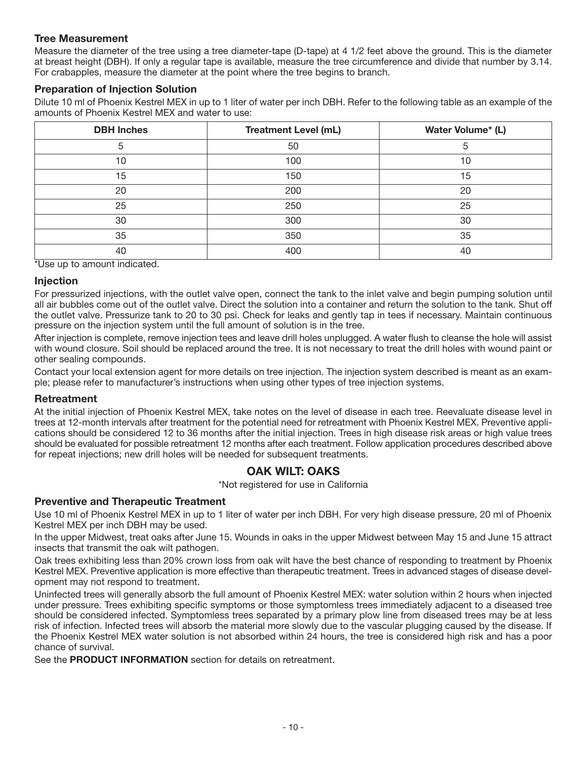#### **Tree Measurement**

Measure the diameter of the tree using a tree diameter-tape (D-tape) at 4 1/2 feet above the ground. This is the diameter at breast height (DBH). If only a regular tape is available, measure the tree circumference and divide that number by 3.14. For crabapples, measure the diameter at the point where the tree begins to branch.

#### **Preparation of Injection Solution**

Dilute 10 ml of Phoenix Kestrel MEX in up to 1 liter of water per inch DBH. Refer to the following table as an example of the amounts of Phoenix Kestrel MEX and water to use:

| <b>DBH Inches</b> | <b>Treatment Level (mL)</b> | Water Volume* (L) |
|-------------------|-----------------------------|-------------------|
| 5                 | 50                          | 5                 |
| 10                | 100                         | 10                |
| 15                | 150                         | 15                |
| 20                | 200                         | 20                |
| 25                | 250                         | 25                |
| 30                | 300                         | 30                |
| 35                | 350                         | 35                |
| 40                | 400                         | 40                |

\*Use up to amount indicated.

#### **Injection**

For pressurized injections, with the outlet valve open, connect the tank to the inlet valve and begin pumping solution until all air bubbles come out of the outlet valve. Direct the solution into a container and return the solution to the tank. Shut off the outlet valve. Pressurize tank to 20 to 30 psi. Check for leaks and gently tap in tees if necessary. Maintain continuous pressure on the injection system until the full amount of solution is in the tree.

After injection is complete, remove injection tees and leave drill holes unplugged. A water flush to cleanse the hole will assist with wound closure. Soil should be replaced around the tree. It is not necessary to treat the drill holes with wound paint or other sealing compounds.

Contact your local extension agent for more details on tree injection. The injection system described is meant as an example; please refer to manufacturer's instructions when using other types of tree injection systems.

#### **Retreatment**

At the initial injection of Phoenix Kestrel MEX, take notes on the level of disease in each tree. Reevaluate disease level in trees at 12-month intervals after treatment for the potential need for retreatment with Phoenix Kestrel MEX. Preventive applications should be considered 12 to 36 months after the initial injection. Trees in high disease risk areas or high value trees should be evaluated for possible retreatment 12 months after each treatment. Follow application procedures described above for repeat injections; new drill holes will be needed for subsequent treatments.

## **OAK WILT: OAKS**

\*Not registered for use in California

#### **Preventive and Therapeutic Treatment**

Use 10 ml of Phoenix Kestrel MEX in up to 1 liter of water per inch DBH. For very high disease pressure, 20 ml of Phoenix Kestrel MEX per inch DBH may be used.

In the upper Midwest, treat oaks after June 15. Wounds in oaks in the upper Midwest between May 15 and June 15 attract insects that transmit the oak wilt pathogen.

Oak trees exhibiting less than 20% crown loss from oak wilt have the best chance of responding to treatment by Phoenix Kestrel MEX. Preventive application is more effective than therapeutic treatment. Trees in advanced stages of disease development may not respond to treatment.

Uninfected trees will generally absorb the full amount of Phoenix Kestrel MEX: water solution within 2 hours when injected under pressure. Trees exhibiting specific symptoms or those symptomless trees immediately adjacent to a diseased tree should be considered infected. Symptomless trees separated by a primary plow line from diseased trees may be at less risk of infection. Infected trees will absorb the material more slowly due to the vascular plugging caused by the disease. If the Phoenix Kestrel MEX water solution is not absorbed within 24 hours, the tree is considered high risk and has a poor chance of survival.

See the **PRODUCT INFORMATION** section for details on retreatment.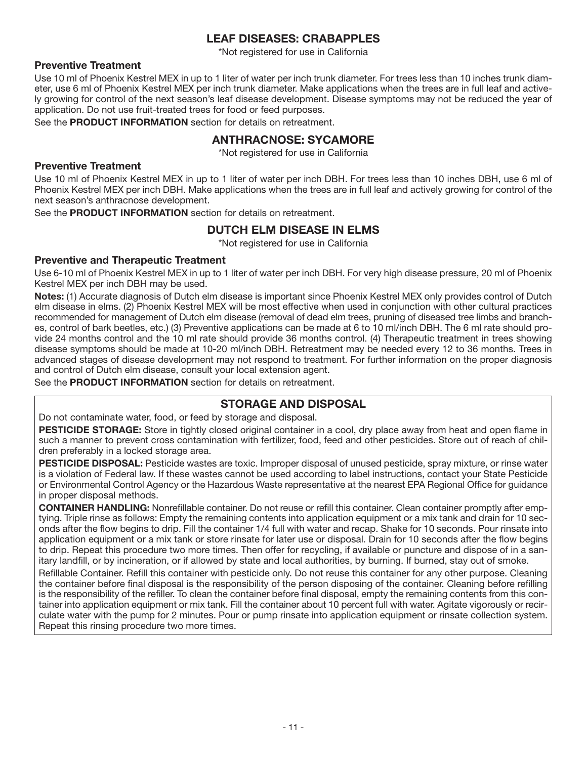## **LEAF DISEASES: CRABAPPLES**

\*Not registered for use in California

#### **Preventive Treatment**

Use 10 ml of Phoenix Kestrel MEX in up to 1 liter of water per inch trunk diameter. For trees less than 10 inches trunk diameter, use 6 ml of Phoenix Kestrel MEX per inch trunk diameter. Make applications when the trees are in full leaf and actively growing for control of the next season's leaf disease development. Disease symptoms may not be reduced the year of application. Do not use fruit-treated trees for food or feed purposes.

See the **PRODUCT INFORMATION** section for details on retreatment.

## **ANTHRACNOSE: SYCAMORE**

\*Not registered for use in California

#### **Preventive Treatment**

Use 10 ml of Phoenix Kestrel MEX in up to 1 liter of water per inch DBH. For trees less than 10 inches DBH, use 6 ml of Phoenix Kestrel MEX per inch DBH. Make applications when the trees are in full leaf and actively growing for control of the next season's anthracnose development.

See the **PRODUCT INFORMATION** section for details on retreatment.

## **DUTCH ELM DISEASE IN ELMS**

\*Not registered for use in California

#### **Preventive and Therapeutic Treatment**

Use 6-10 ml of Phoenix Kestrel MEX in up to 1 liter of water per inch DBH. For very high disease pressure, 20 ml of Phoenix Kestrel MEX per inch DBH may be used.

**Notes:** (1) Accurate diagnosis of Dutch elm disease is important since Phoenix Kestrel MEX only provides control of Dutch elm disease in elms. (2) Phoenix Kestrel MEX will be most effective when used in conjunction with other cultural practices recommended for management of Dutch elm disease (removal of dead elm trees, pruning of diseased tree limbs and branches, control of bark beetles, etc.) (3) Preventive applications can be made at 6 to 10 ml/inch DBH. The 6 ml rate should provide 24 months control and the 10 ml rate should provide 36 months control. (4) Therapeutic treatment in trees showing disease symptoms should be made at 10-20 ml/inch DBH. Retreatment may be needed every 12 to 36 months. Trees in advanced stages of disease development may not respond to treatment. For further information on the proper diagnosis and control of Dutch elm disease, consult your local extension agent.

See the **PRODUCT INFORMATION** section for details on retreatment.

## **STORAGE AND DISPOSAL**

Do not contaminate water, food, or feed by storage and disposal.

**PESTICIDE STORAGE:** Store in tightly closed original container in a cool, dry place away from heat and open flame in such a manner to prevent cross contamination with fertilizer, food, feed and other pesticides. Store out of reach of children preferably in a locked storage area.

**PESTICIDE DISPOSAL:** Pesticide wastes are toxic. Improper disposal of unused pesticide, spray mixture, or rinse water is a violation of Federal law. If these wastes cannot be used according to label instructions, contact your State Pesticide or Environmental Control Agency or the Hazardous Waste representative at the nearest EPA Regional Office for guidance in proper disposal methods.

**CONTAINER HANDLING:** Nonrefillable container. Do not reuse or refill this container. Clean container promptly after emptying. Triple rinse as follows: Empty the remaining contents into application equipment or a mix tank and drain for 10 seconds after the flow begins to drip. Fill the container 1/4 full with water and recap. Shake for 10 seconds. Pour rinsate into application equipment or a mix tank or store rinsate for later use or disposal. Drain for 10 seconds after the flow begins to drip. Repeat this procedure two more times. Then offer for recycling, if available or puncture and dispose of in a sanitary landfill, or by incineration, or if allowed by state and local authorities, by burning. If burned, stay out of smoke.

Refillable Container. Refill this container with pesticide only. Do not reuse this container for any other purpose. Cleaning the container before final disposal is the responsibility of the person disposing of the container. Cleaning before refilling is the responsibility of the refiller. To clean the container before final disposal, empty the remaining contents from this container into application equipment or mix tank. Fill the container about 10 percent full with water. Agitate vigorously or recirculate water with the pump for 2 minutes. Pour or pump rinsate into application equipment or rinsate collection system. Repeat this rinsing procedure two more times.